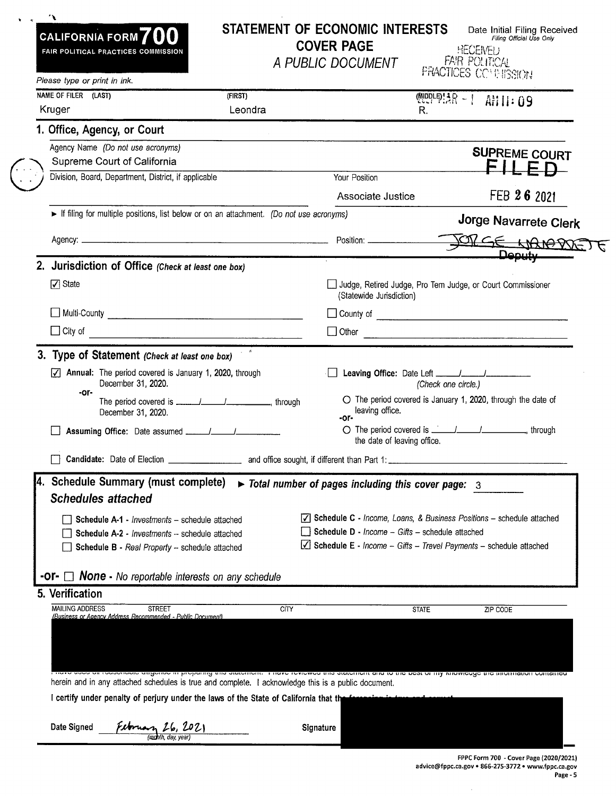|  | CALIFORNIA FORM <sup>700</sup><br>FAIR POLITICAL PRACTICES COMMISSION                                                                                                                                                   |         | <b>COVER PAGE</b><br>A PUBLIC DOCUMENT                                                                                                                                                             |                             | Date Initial Filing Received<br>Filing Official Use Only<br><b>HECENEL</b><br>FAIR POLITICAL<br><b>PRACTICES CONFITSSION</b> |
|--|-------------------------------------------------------------------------------------------------------------------------------------------------------------------------------------------------------------------------|---------|----------------------------------------------------------------------------------------------------------------------------------------------------------------------------------------------------|-----------------------------|------------------------------------------------------------------------------------------------------------------------------|
|  | Please type or print in ink.                                                                                                                                                                                            |         |                                                                                                                                                                                                    |                             |                                                                                                                              |
|  | NAME OF FILER (LAST)                                                                                                                                                                                                    | (FIRST) |                                                                                                                                                                                                    |                             | $@PPF9!3R - 1$ ANII: 09                                                                                                      |
|  | Kruger                                                                                                                                                                                                                  | Leondra |                                                                                                                                                                                                    | R.                          |                                                                                                                              |
|  | 1. Office, Agency, or Court                                                                                                                                                                                             |         |                                                                                                                                                                                                    |                             |                                                                                                                              |
|  | Agency Name (Do not use acronyms)                                                                                                                                                                                       |         |                                                                                                                                                                                                    |                             | <b>SUPREME COURT</b>                                                                                                         |
|  | Supreme Court of California<br>Division, Board, Department, District, if applicable                                                                                                                                     |         | Your Position                                                                                                                                                                                      |                             |                                                                                                                              |
|  |                                                                                                                                                                                                                         |         |                                                                                                                                                                                                    |                             |                                                                                                                              |
|  |                                                                                                                                                                                                                         |         | Associate Justice                                                                                                                                                                                  |                             | FEB 26 2021                                                                                                                  |
|  | If filing for multiple positions, list below or on an attachment. (Do not use acronyms)                                                                                                                                 |         |                                                                                                                                                                                                    |                             | Jorge Navarrete Clerk                                                                                                        |
|  |                                                                                                                                                                                                                         |         |                                                                                                                                                                                                    |                             | PRESE HANOPRETE                                                                                                              |
|  |                                                                                                                                                                                                                         |         |                                                                                                                                                                                                    |                             | <b>Deputy</b>                                                                                                                |
|  | 2. Jurisdiction of Office (Check at least one box)                                                                                                                                                                      |         |                                                                                                                                                                                                    |                             |                                                                                                                              |
|  | $\sqrt{ }$ State                                                                                                                                                                                                        |         | (Statewide Jurisdiction)                                                                                                                                                                           |                             | Judge, Retired Judge, Pro Tem Judge, or Court Commissioner                                                                   |
|  |                                                                                                                                                                                                                         |         |                                                                                                                                                                                                    |                             |                                                                                                                              |
|  | $\Box$ City of                                                                                                                                                                                                          |         | $\Box$ Other                                                                                                                                                                                       |                             |                                                                                                                              |
|  |                                                                                                                                                                                                                         |         |                                                                                                                                                                                                    |                             |                                                                                                                              |
|  | 3. Type of Statement (Check at least one box)                                                                                                                                                                           |         |                                                                                                                                                                                                    |                             |                                                                                                                              |
|  | $\triangledown$ Annual: The period covered is January 1, 2020, through<br>December 31, 2020.<br>-or-                                                                                                                    |         |                                                                                                                                                                                                    | (Check one circle.)         |                                                                                                                              |
|  | December 31, 2020.                                                                                                                                                                                                      |         | leaving office.<br>-or-                                                                                                                                                                            |                             | O The period covered is January 1, 2020, through the date of                                                                 |
|  |                                                                                                                                                                                                                         |         |                                                                                                                                                                                                    | the date of leaving office. |                                                                                                                              |
|  | <b>Candidate:</b> Date of Election                                                                                                                                                                                      |         | _ and office sought, if different than Part 1: ___                                                                                                                                                 |                             |                                                                                                                              |
|  | 4. Schedule Summary (must complete)<br><b>Schedules attached</b><br>Schedule A-1 - Investments - schedule attached<br>Schedule A-2 - Investments -- schedule attached<br>Schedule B - Real Property - schedule attached |         | $\triangleright$ Total number of pages including this cover page: 3<br>Schedule D - Income - Gifts - schedule attached<br>$\vee$ Schedule E - Income - Gifts - Travel Payments - schedule attached |                             | $\sqrt{ }$ Schedule C - Income, Loans, & Business Positions - schedule attached                                              |
|  |                                                                                                                                                                                                                         |         |                                                                                                                                                                                                    |                             |                                                                                                                              |
|  | <b>-Or-</b> $\Box$ <b>None</b> - No reportable interests on any schedule                                                                                                                                                |         |                                                                                                                                                                                                    |                             |                                                                                                                              |
|  | 5. Verification                                                                                                                                                                                                         |         |                                                                                                                                                                                                    |                             |                                                                                                                              |
|  | <b>MAILING ADDRESS</b><br><b>STREET</b><br>(Business or Agency Address Recommended - Public Document)                                                                                                                   |         | <b>CITY</b>                                                                                                                                                                                        | <b>STATE</b>                | ZIP CODE                                                                                                                     |
|  |                                                                                                                                                                                                                         |         |                                                                                                                                                                                                    |                             |                                                                                                                              |
|  |                                                                                                                                                                                                                         |         |                                                                                                                                                                                                    |                             |                                                                                                                              |
|  |                                                                                                                                                                                                                         |         | i ocoordolo aligonoo in brobantig una atatomoni. Tinavo toviowoa una atatomoni ana to una boat or my kilowicade una information o                                                                  |                             |                                                                                                                              |
|  |                                                                                                                                                                                                                         |         |                                                                                                                                                                                                    |                             |                                                                                                                              |
|  | herein and in any attached schedules is true and complete. I acknowledge this is a public document.                                                                                                                     |         |                                                                                                                                                                                                    |                             |                                                                                                                              |
|  | I certify under penalty of perjury under the laws of the State of California that the ferce in this contract                                                                                                            |         |                                                                                                                                                                                                    |                             |                                                                                                                              |

 $\left(\frac{1}{2}\right)$ 

advice@fppc.ca.gov• 866-275-3772 • www.fppc.ca.gov Page - 5

 $\sim 10^7$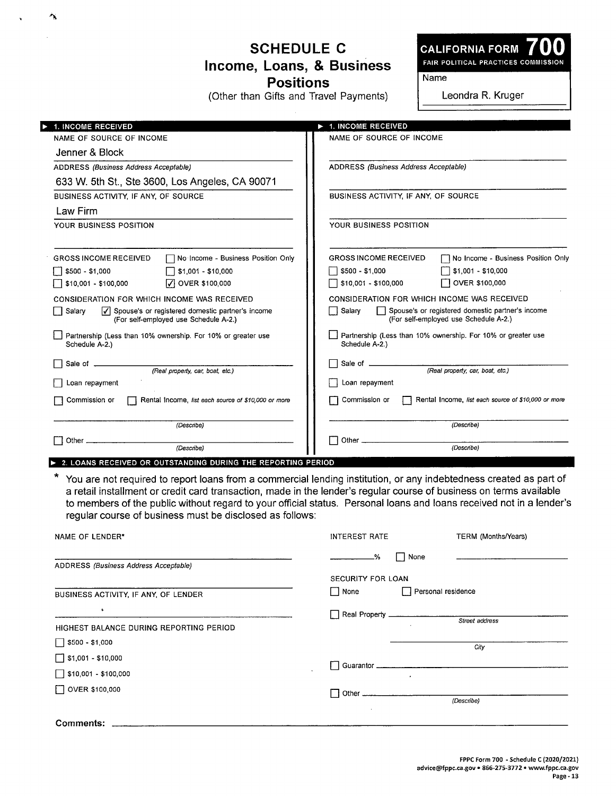## **SCHEDULE C Income, Loans, & Business Positions**

 $\Delta$ 

 $\mathbf{v}$ 

(Other than Gifts and Travel Payments)

**CALIFORNIA FORM 700**  FAIR POLITICAL PRACTICES COMMISSION

Name

Leondra R. Kruger

| <b>1. INCOME RECEIVED</b>                                                                                                  | 1. INCOME RECEIVED                                                                                                                                                                                                                                                                                                                                                |  |  |
|----------------------------------------------------------------------------------------------------------------------------|-------------------------------------------------------------------------------------------------------------------------------------------------------------------------------------------------------------------------------------------------------------------------------------------------------------------------------------------------------------------|--|--|
| NAME OF SOURCE OF INCOME                                                                                                   | NAME OF SOURCE OF INCOME                                                                                                                                                                                                                                                                                                                                          |  |  |
| Jenner & Block                                                                                                             |                                                                                                                                                                                                                                                                                                                                                                   |  |  |
| ADDRESS (Business Address Acceptable)                                                                                      | ADDRESS (Business Address Acceptable)                                                                                                                                                                                                                                                                                                                             |  |  |
| 633 W. 5th St., Ste 3600, Los Angeles, CA 90071                                                                            |                                                                                                                                                                                                                                                                                                                                                                   |  |  |
| BUSINESS ACTIVITY, IF ANY, OF SOURCE                                                                                       | BUSINESS ACTIVITY, IF ANY, OF SOURCE                                                                                                                                                                                                                                                                                                                              |  |  |
| Law Firm                                                                                                                   |                                                                                                                                                                                                                                                                                                                                                                   |  |  |
| YOUR BUSINESS POSITION                                                                                                     | YOUR BUSINESS POSITION                                                                                                                                                                                                                                                                                                                                            |  |  |
| No Income - Business Position Only<br><b>GROSS INCOME RECEIVED</b><br>∏ \$500 - \$1,000<br>\$1,001 - \$10,000              | <b>GROSS INCOME RECEIVED</b><br>No Income - Business Position Only<br>    \$500 - \$1,000<br>$$1,001 - $10,000$                                                                                                                                                                                                                                                   |  |  |
| 1\$10,001 - \$100,000<br>$\sqrt{ }$ OVER \$100,000                                                                         | $\Box$ \$10,001 - \$100,000<br>OVER \$100,000                                                                                                                                                                                                                                                                                                                     |  |  |
| CONSIDERATION FOR WHICH INCOME WAS RECEIVED                                                                                | CONSIDERATION FOR WHICH INCOME WAS RECEIVED                                                                                                                                                                                                                                                                                                                       |  |  |
| $\sqrt{\phantom{a}}$ Spouse's or registered domestic partner's income<br>  Salary<br>(For self-employed use Schedule A-2.) | Spouse's or registered domestic partner's income<br>│ Salary<br>(For self-employed use Schedule A-2.)                                                                                                                                                                                                                                                             |  |  |
| Partnership (Less than 10% ownership. For 10% or greater use<br>Schedule A-2.)                                             | Partnership (Less than 10% ownership. For 10% or greater use<br>Schedule A-2.)                                                                                                                                                                                                                                                                                    |  |  |
| Sale of ___________                                                                                                        | Sale of _____                                                                                                                                                                                                                                                                                                                                                     |  |  |
| (Real property, car, boat, etc.)                                                                                           | (Real property, car, boat, etc.)                                                                                                                                                                                                                                                                                                                                  |  |  |
| Loan repayment                                                                                                             | Loan repayment                                                                                                                                                                                                                                                                                                                                                    |  |  |
| Commission or<br>Rental Income, list each source of \$10,000 or more                                                       | Commission or<br>Rental Income, list each source of \$10,000 or more                                                                                                                                                                                                                                                                                              |  |  |
| (Describe)                                                                                                                 | (Describe)                                                                                                                                                                                                                                                                                                                                                        |  |  |
|                                                                                                                            | Other $\equiv$                                                                                                                                                                                                                                                                                                                                                    |  |  |
| (Describe)                                                                                                                 | (Describe)                                                                                                                                                                                                                                                                                                                                                        |  |  |
| 2. LOANS RECEIVED OR OUTSTANDING DURING THE REPORTING PERIOD                                                               |                                                                                                                                                                                                                                                                                                                                                                   |  |  |
| regular course of business must be disclosed as follows:                                                                   | You are not required to report loans from a commercial lending institution, or any indebtedness created as part of<br>a retail installment or credit card transaction, made in the lender's regular course of business on terms available<br>to members of the public without regard to your official status. Personal loans and loans received not in a lender's |  |  |
| NAME OF LENDER*                                                                                                            | <b>INTEREST RATE</b><br>TERM (Months/Years)                                                                                                                                                                                                                                                                                                                       |  |  |
|                                                                                                                            | −                                                                                                                                                                                                                                                                                                                                                                 |  |  |

|                                         | $\frac{9}{6}$<br>None        |  |  |
|-----------------------------------------|------------------------------|--|--|
| ADDRESS (Business Address Acceptable)   |                              |  |  |
|                                         | SECURITY FOR LOAN            |  |  |
| BUSINESS ACTIVITY, IF ANY, OF LENDER    | │ None<br>Personal residence |  |  |
| $\bullet$                               |                              |  |  |
| HIGHEST BALANCE DURING REPORTING PERIOD | Street address               |  |  |
| $\Box$ \$500 - \$1,000                  | City                         |  |  |
| $\Box$ \$1,001 - \$10,000               |                              |  |  |
| $\Box$ \$10,001 - \$100,000             | $\bullet$                    |  |  |
| $\Box$ OVER \$100,000                   | Other __________________     |  |  |
|                                         | (Describe)                   |  |  |
| Comments:                               |                              |  |  |

FPPC Form 700 - Schedule C **(2020/2021)**  advice@fppc.ca.gov• 866-275-3772 • www.fppc.ca.gov Page - 13